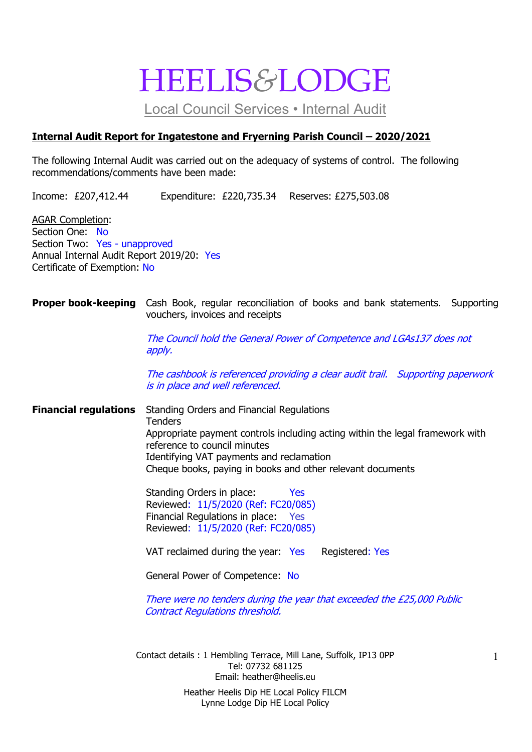## HEELIS&LODGE

Local Council Services • Internal Audit

#### Internal Audit Report for Ingatestone and Fryerning Parish Council – 2020/2021

The following Internal Audit was carried out on the adequacy of systems of control. The following recommendations/comments have been made:

Income: £207,412.44 Expenditure: £220,735.34 Reserves: £275,503.08

AGAR Completion: Section One: No Section Two: Yes - unapproved Annual Internal Audit Report 2019/20: Yes Certificate of Exemption: No

#### **Proper book-keeping** Cash Book, regular reconciliation of books and bank statements. Supporting vouchers, invoices and receipts

The Council hold the General Power of Competence and LGAs137 does not apply.

 The cashbook is referenced providing a clear audit trail. Supporting paperwork is in place and well referenced.

Financial regulations Standing Orders and Financial Regulations **Tenders**  Appropriate payment controls including acting within the legal framework with reference to council minutes Identifying VAT payments and reclamation Cheque books, paying in books and other relevant documents

> Standing Orders in place: Yes Reviewed: 11/5/2020 (Ref: FC20/085) Financial Regulations in place: Yes Reviewed: 11/5/2020 (Ref: FC20/085)

VAT reclaimed during the year: Yes Registered: Yes

General Power of Competence: No

There were no tenders during the year that exceeded the £25,000 Public Contract Regulations threshold.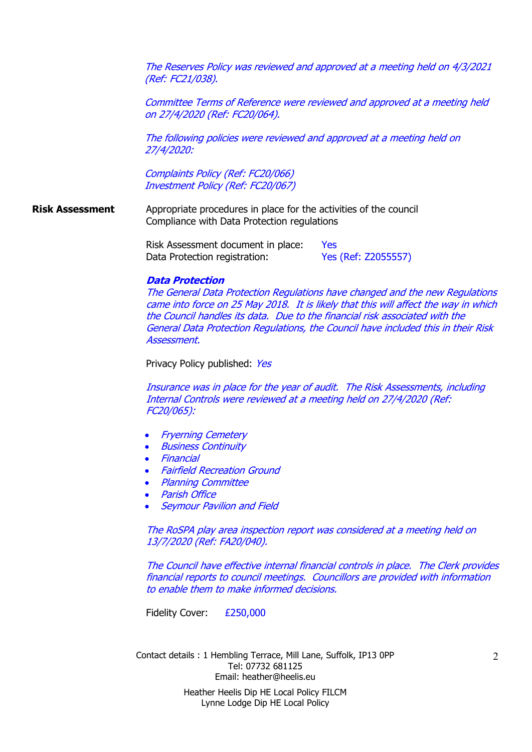The Reserves Policy was reviewed and approved at a meeting held on 4/3/2021 (Ref: FC21/038).

Committee Terms of Reference were reviewed and approved at a meeting held on 27/4/2020 (Ref: FC20/064).

The following policies were reviewed and approved at a meeting held on 27/4/2020:

Complaints Policy (Ref: FC20/066) Investment Policy (Ref: FC20/067)

Risk Assessment Appropriate procedures in place for the activities of the council Compliance with Data Protection regulations

> Risk Assessment document in place: Yes Data Protection registration: Yes (Ref: Z2055557)

#### Data Protection

 The General Data Protection Regulations have changed and the new Regulations came into force on 25 May 2018. It is likely that this will affect the way in which the Council handles its data. Due to the financial risk associated with the General Data Protection Regulations, the Council have included this in their Risk Assessment.

Privacy Policy published: Yes

 Insurance was in place for the year of audit. The Risk Assessments, including Internal Controls were reviewed at a meeting held on 27/4/2020 (Ref: FC20/065):

- Fryerning Cemetery
- Business Continuity
- Financial
- Fairfield Recreation Ground
- Planning Committee
- Parish Office
- Seymour Pavilion and Field

 The RoSPA play area inspection report was considered at a meeting held on 13/7/2020 (Ref: FA20/040).

 The Council have effective internal financial controls in place. The Clerk provides financial reports to council meetings. Councillors are provided with information to enable them to make informed decisions.

Fidelity Cover: £250,000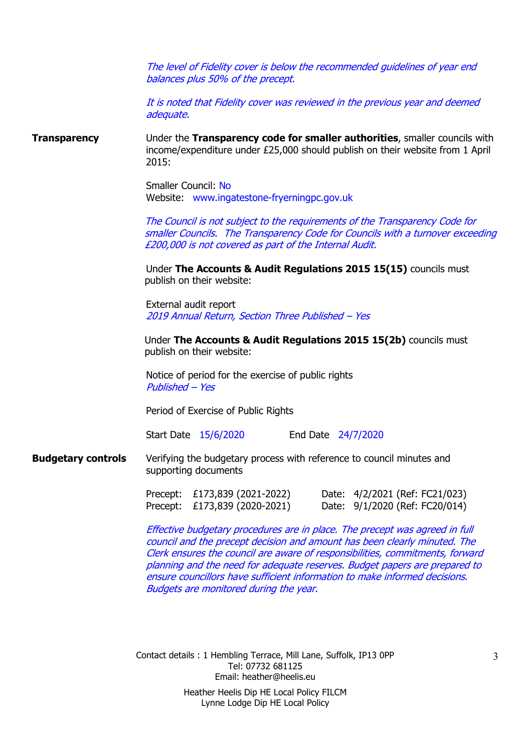The level of Fidelity cover is below the recommended guidelines of year end balances plus 50% of the precept.

 It is noted that Fidelity cover was reviewed in the previous year and deemed adequate.

**Transparency** Under the **Transparency code for smaller authorities**, smaller councils with income/expenditure under £25,000 should publish on their website from 1 April 2015:

> Smaller Council: No Website: www.ingatestone-fryerningpc.gov.uk

The Council is not subject to the requirements of the Transparency Code for smaller Councils. The Transparency Code for Councils with a turnover exceeding £200,000 is not covered as part of the Internal Audit.

Under The Accounts & Audit Regulations 2015 15(15) councils must publish on their website:

 External audit report 2019 Annual Return, Section Three Published – Yes

Under The Accounts & Audit Regulations 2015 15(2b) councils must publish on their website:

 Notice of period for the exercise of public rights Published – Yes

Period of Exercise of Public Rights

Start Date 15/6/2020 End Date 24/7/2020

**Budgetary controls** Verifying the budgetary process with reference to council minutes and supporting documents

> Precept: £173,839 (2021-2022) Date: 4/2/2021 (Ref: FC21/023) Precept: £173,839 (2020-2021) Date: 9/1/2020 (Ref: FC20/014)

Effective budgetary procedures are in place. The precept was agreed in full council and the precept decision and amount has been clearly minuted. The Clerk ensures the council are aware of responsibilities, commitments, forward planning and the need for adequate reserves. Budget papers are prepared to ensure councillors have sufficient information to make informed decisions. Budgets are monitored during the year.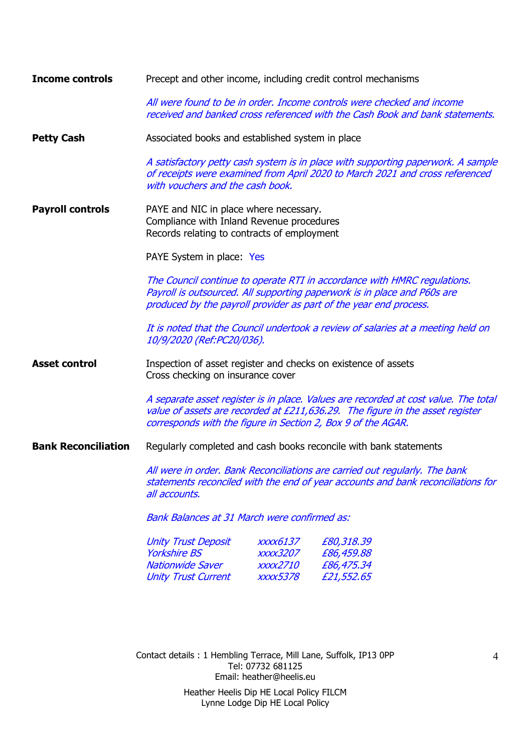| <b>Income controls</b>     | Precept and other income, including credit control mechanisms                                                                                                                                                                                                                                                                               |                                                            |                                                                                                                                                                  |  |  |  |
|----------------------------|---------------------------------------------------------------------------------------------------------------------------------------------------------------------------------------------------------------------------------------------------------------------------------------------------------------------------------------------|------------------------------------------------------------|------------------------------------------------------------------------------------------------------------------------------------------------------------------|--|--|--|
|                            | All were found to be in order. Income controls were checked and income<br>received and banked cross referenced with the Cash Book and bank statements.                                                                                                                                                                                      |                                                            |                                                                                                                                                                  |  |  |  |
| <b>Petty Cash</b>          | Associated books and established system in place                                                                                                                                                                                                                                                                                            |                                                            |                                                                                                                                                                  |  |  |  |
|                            | with vouchers and the cash book.                                                                                                                                                                                                                                                                                                            |                                                            | A satisfactory petty cash system is in place with supporting paperwork. A sample<br>of receipts were examined from April 2020 to March 2021 and cross referenced |  |  |  |
| <b>Payroll controls</b>    | PAYE and NIC in place where necessary.<br>Compliance with Inland Revenue procedures<br>Records relating to contracts of employment                                                                                                                                                                                                          |                                                            |                                                                                                                                                                  |  |  |  |
|                            | PAYE System in place: Yes                                                                                                                                                                                                                                                                                                                   |                                                            |                                                                                                                                                                  |  |  |  |
|                            | The Council continue to operate RTI in accordance with HMRC regulations.<br>Payroll is outsourced. All supporting paperwork is in place and P60s are<br>produced by the payroll provider as part of the year end process.<br>It is noted that the Council undertook a review of salaries at a meeting held on<br>10/9/2020 (Ref:PC20/036).  |                                                            |                                                                                                                                                                  |  |  |  |
|                            |                                                                                                                                                                                                                                                                                                                                             |                                                            |                                                                                                                                                                  |  |  |  |
| <b>Asset control</b>       | Inspection of asset register and checks on existence of assets<br>Cross checking on insurance cover<br>A separate asset register is in place. Values are recorded at cost value. The total<br>value of assets are recorded at £211,636.29. The figure in the asset register<br>corresponds with the figure in Section 2, Box 9 of the AGAR. |                                                            |                                                                                                                                                                  |  |  |  |
|                            |                                                                                                                                                                                                                                                                                                                                             |                                                            |                                                                                                                                                                  |  |  |  |
| <b>Bank Reconciliation</b> | Regularly completed and cash books reconcile with bank statements                                                                                                                                                                                                                                                                           |                                                            |                                                                                                                                                                  |  |  |  |
|                            | All were in order. Bank Reconciliations are carried out regularly. The bank<br>statements reconciled with the end of year accounts and bank reconciliations for<br>all accounts.                                                                                                                                                            |                                                            |                                                                                                                                                                  |  |  |  |
|                            | <b>Bank Balances at 31 March were confirmed as:</b>                                                                                                                                                                                                                                                                                         |                                                            |                                                                                                                                                                  |  |  |  |
|                            | <b>Unity Trust Deposit</b><br><b>Yorkshire BS</b><br><b>Nationwide Saver</b><br><b>Unity Trust Current</b>                                                                                                                                                                                                                                  | <i>xxxx6137</i><br><b>XXXX3207</b><br>xxxx2710<br>xxxx5378 | £80,318.39<br>£86,459.88<br>£86,475.34<br>£21,552.65                                                                                                             |  |  |  |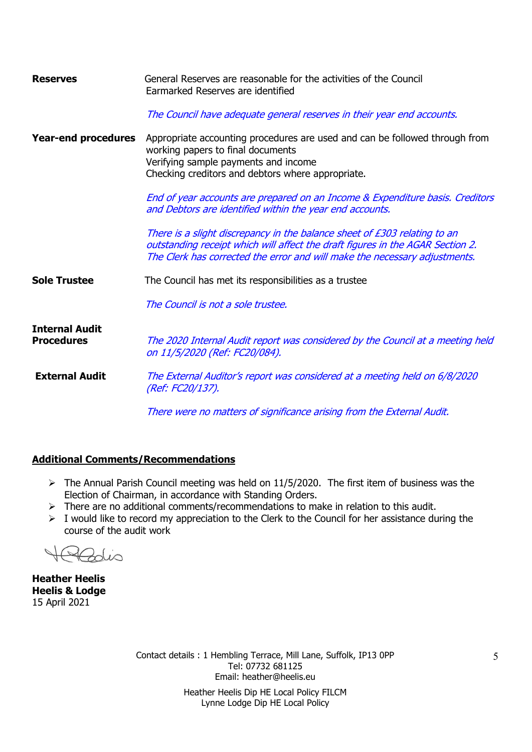| <b>Reserves</b>                            | General Reserves are reasonable for the activities of the Council<br>Earmarked Reserves are identified                                                                                                                                    |  |  |  |  |
|--------------------------------------------|-------------------------------------------------------------------------------------------------------------------------------------------------------------------------------------------------------------------------------------------|--|--|--|--|
|                                            | The Council have adequate general reserves in their year end accounts.                                                                                                                                                                    |  |  |  |  |
| <b>Year-end procedures</b>                 | Appropriate accounting procedures are used and can be followed through from<br>working papers to final documents<br>Verifying sample payments and income<br>Checking creditors and debtors where appropriate.                             |  |  |  |  |
|                                            | End of year accounts are prepared on an Income & Expenditure basis. Creditors<br>and Debtors are identified within the year end accounts.                                                                                                 |  |  |  |  |
|                                            | There is a slight discrepancy in the balance sheet of £303 relating to an<br>outstanding receipt which will affect the draft figures in the AGAR Section 2.<br>The Clerk has corrected the error and will make the necessary adjustments. |  |  |  |  |
| <b>Sole Trustee</b>                        | The Council has met its responsibilities as a trustee                                                                                                                                                                                     |  |  |  |  |
|                                            | The Council is not a sole trustee.                                                                                                                                                                                                        |  |  |  |  |
| <b>Internal Audit</b><br><b>Procedures</b> | The 2020 Internal Audit report was considered by the Council at a meeting held<br>on 11/5/2020 (Ref: FC20/084).                                                                                                                           |  |  |  |  |
| <b>External Audit</b>                      | The External Auditor's report was considered at a meeting held on 6/8/2020<br>(Ref: FC20/137).                                                                                                                                            |  |  |  |  |
|                                            | There were no matters of significance arising from the External Audit.                                                                                                                                                                    |  |  |  |  |

#### Additional Comments/Recommendations

- $\triangleright$  The Annual Parish Council meeting was held on 11/5/2020. The first item of business was the Election of Chairman, in accordance with Standing Orders.
- $\triangleright$  There are no additional comments/recommendations to make in relation to this audit.
- $\triangleright$  I would like to record my appreciation to the Clerk to the Council for her assistance during the course of the audit work

 $\sim$ Zolio

Heather Heelis Heelis & Lodge 15 April 2021